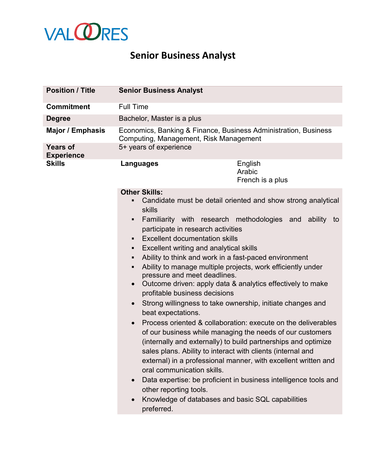

## **Senior Business Analyst**

| <b>Position / Title</b>              | <b>Senior Business Analyst</b>                                                                                                                                                                                                                                                                                                                                                                                                                                                                                                                                                                                                                                                                                                                                                                                                                                                                                                                                                                                                                                                                                                                                                                                                                               |  |
|--------------------------------------|--------------------------------------------------------------------------------------------------------------------------------------------------------------------------------------------------------------------------------------------------------------------------------------------------------------------------------------------------------------------------------------------------------------------------------------------------------------------------------------------------------------------------------------------------------------------------------------------------------------------------------------------------------------------------------------------------------------------------------------------------------------------------------------------------------------------------------------------------------------------------------------------------------------------------------------------------------------------------------------------------------------------------------------------------------------------------------------------------------------------------------------------------------------------------------------------------------------------------------------------------------------|--|
| <b>Commitment</b>                    | <b>Full Time</b>                                                                                                                                                                                                                                                                                                                                                                                                                                                                                                                                                                                                                                                                                                                                                                                                                                                                                                                                                                                                                                                                                                                                                                                                                                             |  |
| <b>Degree</b>                        | Bachelor, Master is a plus                                                                                                                                                                                                                                                                                                                                                                                                                                                                                                                                                                                                                                                                                                                                                                                                                                                                                                                                                                                                                                                                                                                                                                                                                                   |  |
| Major / Emphasis                     | Economics, Banking & Finance, Business Administration, Business<br>Computing, Management, Risk Management                                                                                                                                                                                                                                                                                                                                                                                                                                                                                                                                                                                                                                                                                                                                                                                                                                                                                                                                                                                                                                                                                                                                                    |  |
| <b>Years of</b><br><b>Experience</b> | 5+ years of experience                                                                                                                                                                                                                                                                                                                                                                                                                                                                                                                                                                                                                                                                                                                                                                                                                                                                                                                                                                                                                                                                                                                                                                                                                                       |  |
| <b>Skills</b>                        | English<br>Languages<br>Arabic<br>French is a plus                                                                                                                                                                                                                                                                                                                                                                                                                                                                                                                                                                                                                                                                                                                                                                                                                                                                                                                                                                                                                                                                                                                                                                                                           |  |
|                                      | <b>Other Skills:</b><br>Candidate must be detail oriented and show strong analytical<br>Ξ<br>skills<br>Familiarity with research methodologies and ability to<br>Ξ<br>participate in research activities<br><b>Excellent documentation skills</b><br>Ξ<br>Excellent writing and analytical skills<br>٠<br>Ability to think and work in a fast-paced environment<br>٠<br>Ability to manage multiple projects, work efficiently under<br>Ξ<br>pressure and meet deadlines.<br>Outcome driven: apply data & analytics effectively to make<br>$\bullet$<br>profitable business decisions<br>Strong willingness to take ownership, initiate changes and<br>$\bullet$<br>beat expectations.<br>Process oriented & collaboration: execute on the deliverables<br>$\bullet$<br>of our business while managing the needs of our customers<br>(internally and externally) to build partnerships and optimize<br>sales plans. Ability to interact with clients (internal and<br>external) in a professional manner, with excellent written and<br>oral communication skills.<br>Data expertise: be proficient in business intelligence tools and<br>$\bullet$<br>other reporting tools.<br>Knowledge of databases and basic SQL capabilities<br>$\bullet$<br>preferred. |  |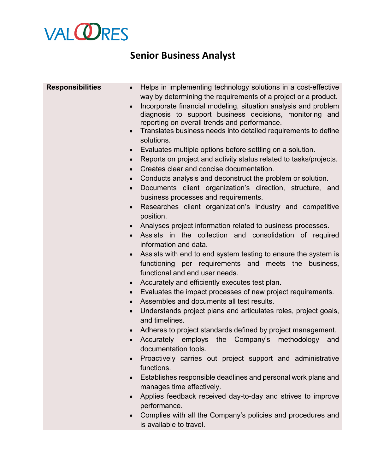## **VAL@RES**

## **Senior Business Analyst**

| <b>Responsibilities</b> | Helps in implementing technology solutions in a cost-effective<br>$\bullet$<br>way by determining the requirements of a project or a product.<br>Incorporate financial modeling, situation analysis and problem<br>diagnosis to support business decisions, monitoring and<br>reporting on overall trends and performance.<br>Translates business needs into detailed requirements to define<br>$\bullet$ |
|-------------------------|-----------------------------------------------------------------------------------------------------------------------------------------------------------------------------------------------------------------------------------------------------------------------------------------------------------------------------------------------------------------------------------------------------------|
|                         | solutions.                                                                                                                                                                                                                                                                                                                                                                                                |
|                         | Evaluates multiple options before settling on a solution.<br>$\bullet$<br>Reports on project and activity status related to tasks/projects.<br>$\bullet$                                                                                                                                                                                                                                                  |
|                         | Creates clear and concise documentation.<br>$\bullet$                                                                                                                                                                                                                                                                                                                                                     |
|                         | Conducts analysis and deconstruct the problem or solution.<br>$\bullet$                                                                                                                                                                                                                                                                                                                                   |
|                         | Documents client organization's direction, structure, and<br>$\bullet$<br>business processes and requirements.                                                                                                                                                                                                                                                                                            |
|                         | Researches client organization's industry and competitive<br>$\bullet$<br>position.                                                                                                                                                                                                                                                                                                                       |
|                         | Analyses project information related to business processes.                                                                                                                                                                                                                                                                                                                                               |
|                         | Assists in the collection and consolidation of required<br>$\bullet$                                                                                                                                                                                                                                                                                                                                      |
|                         | information and data.                                                                                                                                                                                                                                                                                                                                                                                     |
|                         | Assists with end to end system testing to ensure the system is<br>functioning per requirements and meets the<br>business,<br>functional and end user needs.                                                                                                                                                                                                                                               |
|                         | Accurately and efficiently executes test plan.<br>$\bullet$                                                                                                                                                                                                                                                                                                                                               |
|                         | Evaluates the impact processes of new project requirements.<br>$\bullet$                                                                                                                                                                                                                                                                                                                                  |
|                         | Assembles and documents all test results.<br>$\bullet$                                                                                                                                                                                                                                                                                                                                                    |
|                         | Understands project plans and articulates roles, project goals,<br>$\bullet$<br>and timelines.                                                                                                                                                                                                                                                                                                            |
|                         | Adheres to project standards defined by project management.<br>$\bullet$                                                                                                                                                                                                                                                                                                                                  |
|                         | Accurately employs the Company's methodology<br>and<br>$\bullet$                                                                                                                                                                                                                                                                                                                                          |
|                         | documentation tools.                                                                                                                                                                                                                                                                                                                                                                                      |
|                         | Proactively carries out project support and administrative<br>functions.                                                                                                                                                                                                                                                                                                                                  |
|                         | Establishes responsible deadlines and personal work plans and<br>$\bullet$<br>manages time effectively.                                                                                                                                                                                                                                                                                                   |
|                         | Applies feedback received day-to-day and strives to improve                                                                                                                                                                                                                                                                                                                                               |
|                         | performance.                                                                                                                                                                                                                                                                                                                                                                                              |
|                         | Complies with all the Company's policies and procedures and<br>is available to travel.                                                                                                                                                                                                                                                                                                                    |